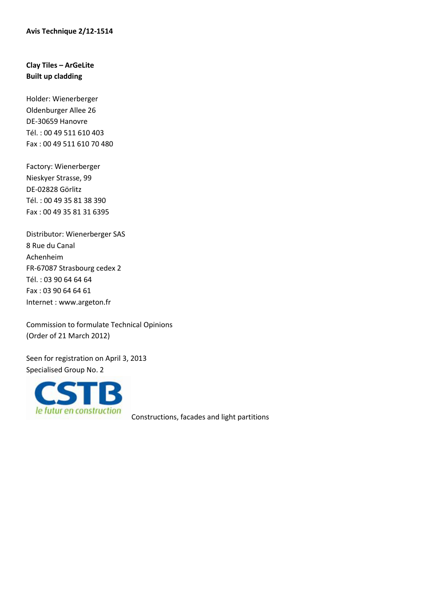## **Clay Tiles – ArGeLite Built up cladding**

Holder: Wienerberger Oldenburger Allee 26 DE-30659 Hanovre Tél. : 00 49 511 610 403 Fax : 00 49 511 610 70 480

Factory: Wienerberger Nieskyer Strasse, 99 DE-02828 Görlitz Tél. : 00 49 35 81 38 390 Fax : 00 49 35 81 31 6395

Distributor: Wienerberger SAS 8 Rue du Canal Achenheim FR-67087 Strasbourg cedex 2 Tél. : 03 90 64 64 64 Fax : 03 90 64 64 61 Internet : www.argeton.fr

Commission to formulate Technical Opinions (Order of 21 March 2012)

Seen for registration on April 3, 2013 Specialised Group No. 2



Constructions, facades and light partitions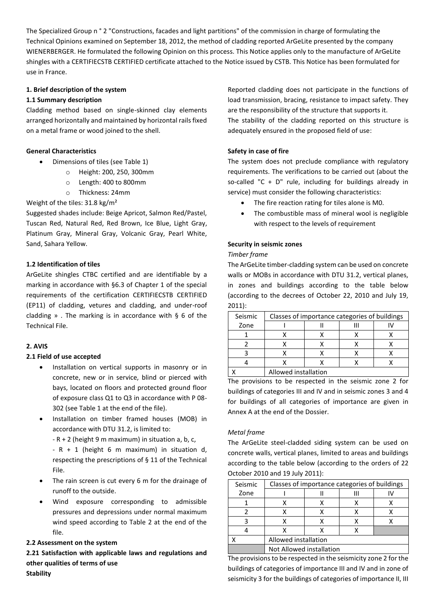The Specialized Group n ° 2 "Constructions, facades and light partitions" of the commission in charge of formulating the Technical Opinions examined on September 18, 2012, the method of cladding reported ArGeLite presented by the company WIENERBERGER. He formulated the following Opinion on this process. This Notice applies only to the manufacture of ArGeLite shingles with a CERTIFIECSTB CERTIFIED certificate attached to the Notice issued by CSTB. This Notice has been formulated for use in France.

## **1. Brief description of the system**

## **1.1 Summary description**

Cladding method based on single-skinned clay elements arranged horizontally and maintained by horizontal rails fixed on a metal frame or wood joined to the shell.

## **General Characteristics**

- Dimensions of tiles (see Table 1)
	- o Height: 200, 250, 300mm
		- o Length: 400 to 800mm
	- o Thickness: 24mm

## Weight of the tiles: 31.8 kg/m²

Suggested shades include: Beige Apricot, Salmon Red/Pastel, Tuscan Red, Natural Red, Red Brown, Ice Blue, Light Gray, Platinum Gray, Mineral Gray, Volcanic Gray, Pearl White, Sand, Sahara Yellow.

#### **1.2 Identification of tiles**

ArGeLite shingles CTBC certified and are identifiable by a marking in accordance with §6.3 of Chapter 1 of the special requirements of the certification CERTIFIECSTB CERTIFIED (EP11) of cladding, vetures and cladding, and under-roof cladding ». The marking is in accordance with  $\S$  6 of the Technical File.

## **2. AVIS**

#### **2.1 Field of use accepted**

- Installation on vertical supports in masonry or in concrete, new or in service, blind or pierced with bays, located on floors and protected ground floor of exposure class Q1 to Q3 in accordance with P 08- 302 (see Table 1 at the end of the file).
- Installation on timber framed houses (MOB) in accordance with DTU 31.2, is limited to:

 $-R + 2$  (height 9 m maximum) in situation a, b, c,

 $-R + 1$  (height 6 m maximum) in situation d, respecting the prescriptions of § 11 of the Technical File.

- The rain screen is cut every 6 m for the drainage of runoff to the outside.
- Wind exposure corresponding to admissible pressures and depressions under normal maximum wind speed according to Table 2 at the end of the file.

## **2.2 Assessment on the system**

**2.21 Satisfaction with applicable laws and regulations and other qualities of terms of use Stability**

Reported cladding does not participate in the functions of load transmission, bracing, resistance to impact safety. They are the responsibility of the structure that supports it.

The stability of the cladding reported on this structure is adequately ensured in the proposed field of use:

#### **Safety in case of fire**

The system does not preclude compliance with regulatory requirements. The verifications to be carried out (about the so-called "C + D" rule, including for buildings already in service) must consider the following characteristics:

- The fire reaction rating for tiles alone is M0.
- The combustible mass of mineral wool is negligible with respect to the levels of requirement

#### **Security in seismic zones**

#### *Timber frame*

The ArGeLite timber-cladding system can be used on concrete walls or MOBs in accordance with DTU 31.2, vertical planes, in zones and buildings according to the table below (according to the decrees of October 22, 2010 and July 19, 2011):

| Seismic | Classes of importance categories of buildings |  |  |  |  |
|---------|-----------------------------------------------|--|--|--|--|
| Zone    |                                               |  |  |  |  |
|         |                                               |  |  |  |  |
|         |                                               |  |  |  |  |
|         |                                               |  |  |  |  |
|         |                                               |  |  |  |  |
|         | Allowed installation                          |  |  |  |  |

The provisions to be respected in the seismic zone 2 for buildings of categories III and IV and in seismic zones 3 and 4 for buildings of all categories of importance are given in Annex A at the end of the Dossier.

#### *Metal frame*

The ArGeLite steel-cladded siding system can be used on concrete walls, vertical planes, limited to areas and buildings according to the table below (according to the orders of 22 October 2010 and 19 July 2011):

| Seismic | Classes of importance categories of buildings |  |  |  |  |
|---------|-----------------------------------------------|--|--|--|--|
| Zone    |                                               |  |  |  |  |
|         |                                               |  |  |  |  |
|         |                                               |  |  |  |  |
|         |                                               |  |  |  |  |
|         |                                               |  |  |  |  |
|         | Allowed installation                          |  |  |  |  |
|         | Not Allowed installation                      |  |  |  |  |

The provisions to be respected in the seismicity zone 2 for the buildings of categories of importance III and IV and in zone of seismicity 3 for the buildings of categories of importance II, III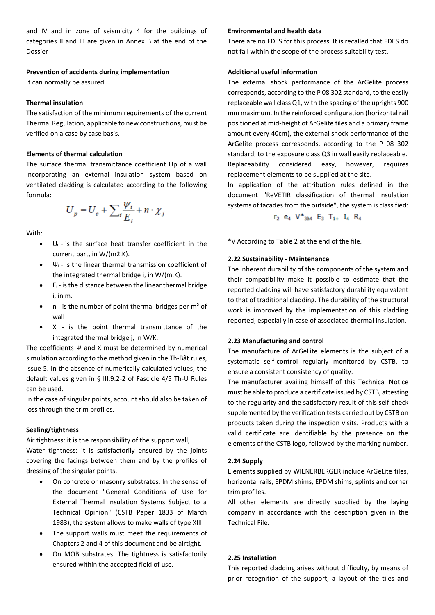and IV and in zone of seismicity 4 for the buildings of categories II and III are given in Annex B at the end of the Dossier

#### **Prevention of accidents during implementation**

It can normally be assured.

#### **Thermal insulation**

The satisfaction of the minimum requirements of the current Thermal Regulation, applicable to new constructions, must be verified on a case by case basis.

#### **Elements of thermal calculation**

The surface thermal transmittance coefficient Up of a wall incorporating an external insulation system based on ventilated cladding is calculated according to the following formula:

$$
U_p = U_c + \sum_{i} \frac{\psi_i}{E_i} + n \cdot \chi_j
$$

With:

- $U_c$  is the surface heat transfer coefficient in the current part, in W/(m2.K).
- $\Psi_i$  is the linear thermal transmission coefficient of the integrated thermal bridge i, in W/(m.K).
- $E_i$  is the distance between the linear thermal bridge i, in m.
- $n -$  is the number of point thermal bridges per  $m<sup>2</sup>$  of wall
- $X_i$  is the point thermal transmittance of the integrated thermal bridge j, in W/K.

The coefficients Ψ and X must be determined by numerical simulation according to the method given in the Th-Bât rules, issue 5. In the absence of numerically calculated values, the default values given in § III.9.2-2 of Fascicle 4/5 Th-U Rules can be used.

In the case of singular points, account should also be taken of loss through the trim profiles.

#### **Sealing/tightness**

Air tightness: it is the responsibility of the support wall, Water tightness: it is satisfactorily ensured by the joints covering the facings between them and by the profiles of dressing of the singular points.

- On concrete or masonry substrates: In the sense of the document "General Conditions of Use for External Thermal Insulation Systems Subject to a Technical Opinion" (CSTB Paper 1833 of March 1983), the system allows to make walls of type XIII
- The support walls must meet the requirements of Chapters 2 and 4 of this document and be airtight.
- On MOB substrates: The tightness is satisfactorily ensured within the accepted field of use.

#### **Environmental and health data**

There are no FDES for this process. It is recalled that FDES do not fall within the scope of the process suitability test.

#### **Additional useful information**

The external shock performance of the ArGelite process corresponds, according to the P 08 302 standard, to the easily replaceable wall class Q1, with the spacing of the uprights 900 mm maximum. In the reinforced configuration (horizontal rail positioned at mid-height of ArGelite tiles and a primary frame amount every 40cm), the external shock performance of the ArGelite process corresponds, according to the P 08 302 standard, to the exposure class Q3 in wall easily replaceable. Replaceability considered easy, however, requires replacement elements to be supplied at the site.

In application of the attribution rules defined in the document "ReVETIR classification of thermal insulation systems of facades from the outside", the system is classified:

```
r_2 e<sub>4</sub> V^*<sub>384</sub> E<sub>3</sub> T<sub>1+</sub> I<sub>4</sub> R<sub>4</sub>
```
\*V According to Table 2 at the end of the file.

#### **2.22 Sustainability - Maintenance**

The inherent durability of the components of the system and their compatibility make it possible to estimate that the reported cladding will have satisfactory durability equivalent to that of traditional cladding. The durability of the structural work is improved by the implementation of this cladding reported, especially in case of associated thermal insulation.

#### **2.23 Manufacturing and control**

The manufacture of ArGeLite elements is the subject of a systematic self-control regularly monitored by CSTB, to ensure a consistent consistency of quality.

The manufacturer availing himself of this Technical Notice must be able to produce a certificate issued by CSTB, attesting to the regularity and the satisfactory result of this self-check supplemented by the verification tests carried out by CSTB on products taken during the inspection visits. Products with a valid certificate are identifiable by the presence on the elements of the CSTB logo, followed by the marking number.

#### **2.24 Supply**

Elements supplied by WIENERBERGER include ArGeLite tiles, horizontal rails, EPDM shims, EPDM shims, splints and corner trim profiles.

All other elements are directly supplied by the laying company in accordance with the description given in the Technical File.

## **2.25 Installation**

This reported cladding arises without difficulty, by means of prior recognition of the support, a layout of the tiles and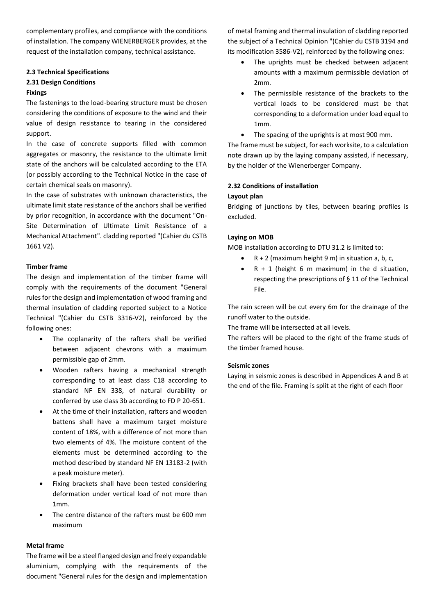complementary profiles, and compliance with the conditions of installation. The company WIENERBERGER provides, at the request of the installation company, technical assistance.

#### **2.3 Technical Specifications**

#### **2.31 Design Conditions**

#### **Fixings**

The fastenings to the load-bearing structure must be chosen considering the conditions of exposure to the wind and their value of design resistance to tearing in the considered support.

In the case of concrete supports filled with common aggregates or masonry, the resistance to the ultimate limit state of the anchors will be calculated according to the ETA (or possibly according to the Technical Notice in the case of certain chemical seals on masonry).

In the case of substrates with unknown characteristics, the ultimate limit state resistance of the anchors shall be verified by prior recognition, in accordance with the document "On-Site Determination of Ultimate Limit Resistance of a Mechanical Attachment". cladding reported "(Cahier du CSTB 1661 V2).

#### **Timber frame**

The design and implementation of the timber frame will comply with the requirements of the document "General rules for the design and implementation of wood framing and thermal insulation of cladding reported subject to a Notice Technical "(Cahier du CSTB 3316-V2), reinforced by the following ones:

- The coplanarity of the rafters shall be verified between adjacent chevrons with a maximum permissible gap of 2mm.
- Wooden rafters having a mechanical strength corresponding to at least class C18 according to standard NF EN 338, of natural durability or conferred by use class 3b according to FD P 20-651.
- At the time of their installation, rafters and wooden battens shall have a maximum target moisture content of 18%, with a difference of not more than two elements of 4%. The moisture content of the elements must be determined according to the method described by standard NF EN 13183-2 (with a peak moisture meter).
- Fixing brackets shall have been tested considering deformation under vertical load of not more than 1mm.
- The centre distance of the rafters must be 600 mm maximum

## **Metal frame**

The frame will be a steel flanged design and freely expandable aluminium, complying with the requirements of the document "General rules for the design and implementation of metal framing and thermal insulation of cladding reported the subject of a Technical Opinion "(Cahier du CSTB 3194 and its modification 3586-V2), reinforced by the following ones:

- The uprights must be checked between adjacent amounts with a maximum permissible deviation of 2mm.
- The permissible resistance of the brackets to the vertical loads to be considered must be that corresponding to a deformation under load equal to 1mm.
- The spacing of the uprights is at most 900 mm.

The frame must be subject, for each worksite, to a calculation note drawn up by the laying company assisted, if necessary, by the holder of the Wienerberger Company.

### **2.32 Conditions of installation**

#### **Layout plan**

Bridging of junctions by tiles, between bearing profiles is excluded.

### **Laying on MOB**

MOB installation according to DTU 31.2 is limited to:

- $R + 2$  (maximum height 9 m) in situation a, b, c,
- $R + 1$  (height 6 m maximum) in the d situation, respecting the prescriptions of § 11 of the Technical File.

The rain screen will be cut every 6m for the drainage of the runoff water to the outside.

The frame will be intersected at all levels.

The rafters will be placed to the right of the frame studs of the timber framed house.

#### **Seismic zones**

Laying in seismic zones is described in Appendices A and B at the end of the file. Framing is split at the right of each floor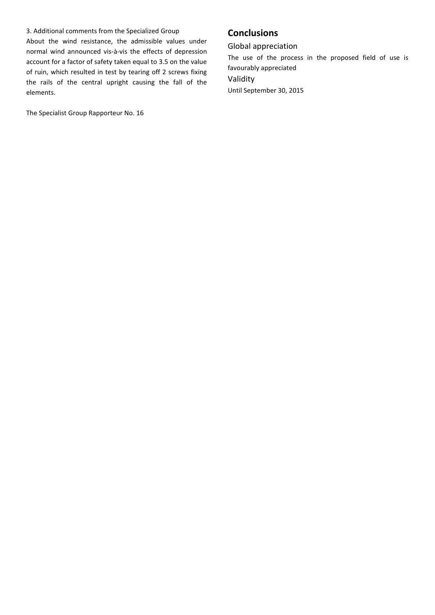#### 3. Additional comments from the Specialized Group

About the wind resistance, the admissible values under normal wind announced vis-à-vis the effects of depression account for a factor of safety taken equal to 3.5 on the value of ruin, which resulted in test by tearing off 2 screws fixing the rails of the central upright causing the fall of the elements.

The Specialist Group Rapporteur No. 16

# **Conclusions**

Global appreciation The use of the process in the proposed field of use is favourably appreciated Validity Until September 30, 2015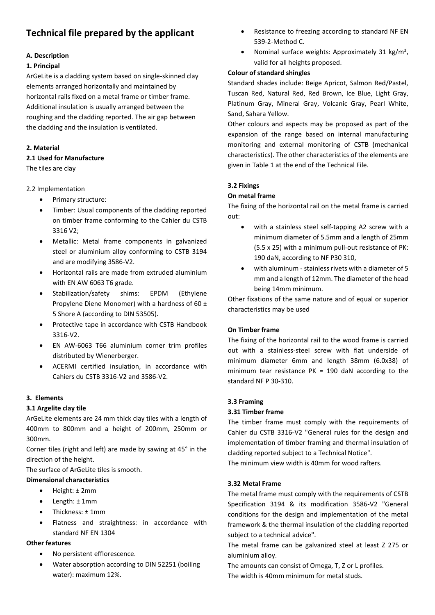# **Technical file prepared by the applicant**

## **A. Description**

## **1. Principal**

ArGeLite is a cladding system based on single-skinned clay elements arranged horizontally and maintained by horizontal rails fixed on a metal frame or timber frame. Additional insulation is usually arranged between the roughing and the cladding reported. The air gap between the cladding and the insulation is ventilated.

## **2. Material**

## **2.1 Used for Manufacture**

The tiles are clay

## 2.2 Implementation

- Primary structure:
- Timber: Usual components of the cladding reported on timber frame conforming to the Cahier du CSTB 3316 V2;
- Metallic: Metal frame components in galvanized steel or aluminium alloy conforming to CSTB 3194 and are modifying 3586-V2.
- Horizontal rails are made from extruded aluminium with EN AW 6063 T6 grade.
- Stabilization/safety shims: EPDM (Ethylene Propylene Diene Monomer) with a hardness of 60 ± 5 Shore A (according to DIN 53505).
- Protective tape in accordance with CSTB Handbook 3316-V2.
- EN AW-6063 T66 aluminium corner trim profiles distributed by Wienerberger.
- ACERMI certified insulation, in accordance with Cahiers du CSTB 3316-V2 and 3586-V2.

## **3. Elements**

## **3.1 Argelite clay tile**

ArGeLite elements are 24 mm thick clay tiles with a length of 400mm to 800mm and a height of 200mm, 250mm or 300mm.

Corner tiles (right and left) are made by sawing at 45° in the direction of the height.

The surface of ArGeLite tiles is smooth.

## **Dimensional characteristics**

- Height: ± 2mm
- Length: ± 1mm
- Thickness: ± 1mm
- Flatness and straightness: in accordance with standard NF EN 1304

## **Other features**

- No persistent efflorescence.
- Water absorption according to DIN 52251 (boiling water): maximum 12%.
- Resistance to freezing according to standard NF EN 539-2-Method C.
- Nominal surface weights: Approximately 31 kg/m<sup>2</sup>, valid for all heights proposed.

## **Colour of standard shingles**

Standard shades include: Beige Apricot, Salmon Red/Pastel, Tuscan Red, Natural Red, Red Brown, Ice Blue, Light Gray, Platinum Gray, Mineral Gray, Volcanic Gray, Pearl White, Sand, Sahara Yellow.

Other colours and aspects may be proposed as part of the expansion of the range based on internal manufacturing monitoring and external monitoring of CSTB (mechanical characteristics). The other characteristics of the elements are given in Table 1 at the end of the Technical File.

## **3.2 Fixings**

## **On metal frame**

The fixing of the horizontal rail on the metal frame is carried out:

- with a stainless steel self-tapping A2 screw with a minimum diameter of 5.5mm and a length of 25mm (5.5 x 25) with a minimum pull-out resistance of PK: 190 daN, according to NF P30 310,
- with aluminum stainless rivets with a diameter of 5 mm and a length of 12mm. The diameter of the head being 14mm minimum.

Other fixations of the same nature and of equal or superior characteristics may be used

## **On Timber frame**

The fixing of the horizontal rail to the wood frame is carried out with a stainless-steel screw with flat underside of minimum diameter 6mm and length 38mm (6.0x38) of minimum tear resistance PK = 190 daN according to the standard NF P 30-310.

## **3.3 Framing**

## **3.31 Timber frame**

The timber frame must comply with the requirements of Cahier du CSTB 3316-V2 "General rules for the design and implementation of timber framing and thermal insulation of cladding reported subject to a Technical Notice".

The minimum view width is 40mm for wood rafters.

## **3.32 Metal Frame**

The metal frame must comply with the requirements of CSTB Specification 3194 & its modification 3586-V2 "General conditions for the design and implementation of the metal framework & the thermal insulation of the cladding reported subject to a technical advice".

The metal frame can be galvanized steel at least Z 275 or aluminium alloy.

The amounts can consist of Omega, T, Z or L profiles. The width is 40mm minimum for metal studs.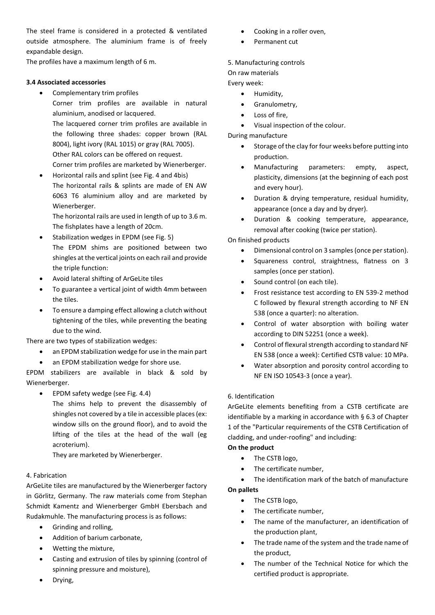The steel frame is considered in a protected & ventilated outside atmosphere. The aluminium frame is of freely expandable design.

The profiles have a maximum length of 6 m.

## **3.4 Associated accessories**

• Complementary trim profiles

Corner trim profiles are available in natural aluminium, anodised or lacquered. The lacquered corner trim profiles are available in the following three shades: copper brown (RAL 8004), light ivory (RAL 1015) or gray (RAL 7005). Other RAL colors can be offered on request. Corner trim profiles are marketed by Wienerberger.

• Horizontal rails and splint (see Fig. 4 and 4bis) The horizontal rails & splints are made of EN AW 6063 T6 aluminium alloy and are marketed by Wienerberger.

The horizontal rails are used in length of up to 3.6 m. The fishplates have a length of 20cm.

- Stabilization wedges in EPDM (see Fig. 5) The EPDM shims are positioned between two shingles at the vertical joints on each rail and provide the triple function:
- Avoid lateral shifting of ArGeLite tiles
- To guarantee a vertical joint of width 4mm between the tiles.
- To ensure a damping effect allowing a clutch without tightening of the tiles, while preventing the beating due to the wind.

There are two types of stabilization wedges:

- an EPDM stabilization wedge for use in the main part
- an EPDM stabilization wedge for shore use.

EPDM stabilizers are available in black & sold by Wienerberger.

- EPDM safety wedge (see Fig. 4.4)
	- The shims help to prevent the disassembly of shingles not covered by a tile in accessible places (ex: window sills on the ground floor), and to avoid the lifting of the tiles at the head of the wall (eg acroterium).

They are marketed by Wienerberger.

## 4. Fabrication

ArGeLite tiles are manufactured by the Wienerberger factory in Görlitz, Germany. The raw materials come from Stephan Schmidt Kamentz and Wienerberger GmbH Ebersbach and Rudakmuhle. The manufacturing process is as follows:

- Grinding and rolling,
- Addition of barium carbonate,
- Wetting the mixture,
- Casting and extrusion of tiles by spinning (control of spinning pressure and moisture),
- Cooking in a roller oven,
- Permanent cut

## 5. Manufacturing controls

## On raw materials

Every week:

- Humidity,
- Granulometry,
- Loss of fire,
- Visual inspection of the colour.

During manufacture

- Storage of the clay for four weeks before putting into production.
- Manufacturing parameters: empty, aspect, plasticity, dimensions (at the beginning of each post and every hour).
- Duration & drying temperature, residual humidity, appearance (once a day and by dryer).
- Duration & cooking temperature, appearance, removal after cooking (twice per station).

On finished products

- Dimensional control on 3 samples (once per station).
- Squareness control, straightness, flatness on 3 samples (once per station).
- Sound control (on each tile).
- Frost resistance test according to EN 539-2 method C followed by flexural strength according to NF EN 538 (once a quarter): no alteration.
- Control of water absorption with boiling water according to DIN 52251 (once a week).
- Control of flexural strength according to standard NF EN 538 (once a week): Certified CSTB value: 10 MPa.
- Water absorption and porosity control according to NF EN ISO 10543-3 (once a year).

## 6. Identification

ArGeLite elements benefiting from a CSTB certificate are identifiable by a marking in accordance with § 6.3 of Chapter 1 of the "Particular requirements of the CSTB Certification of cladding, and under-roofing" and including:

#### **On the product**

- The CSTB logo,
- The certificate number.
- The identification mark of the batch of manufacture **On pallets**
	- The CSTB logo,
	- The certificate number,
	- The name of the manufacturer, an identification of the production plant,
	- The trade name of the system and the trade name of the product,
	- The number of the Technical Notice for which the certified product is appropriate.

• Drying,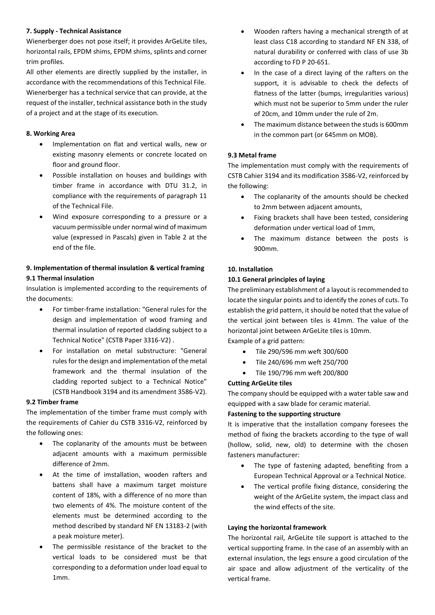## **7. Supply - Technical Assistance**

Wienerberger does not pose itself; it provides ArGeLite tiles, horizontal rails, EPDM shims, EPDM shims, splints and corner trim profiles.

All other elements are directly supplied by the installer, in accordance with the recommendations of this Technical File. Wienerberger has a technical service that can provide, at the request of the installer, technical assistance both in the study of a project and at the stage of its execution.

## **8. Working Area**

- Implementation on flat and vertical walls, new or existing masonry elements or concrete located on floor and ground floor.
- Possible installation on houses and buildings with timber frame in accordance with DTU 31.2, in compliance with the requirements of paragraph 11 of the Technical File.
- Wind exposure corresponding to a pressure or a vacuum permissible under normal wind of maximum value (expressed in Pascals) given in Table 2 at the end of the file.

## **9. Implementation of thermal insulation & vertical framing 9.1 Thermal insulation**

Insulation is implemented according to the requirements of the documents:

- For timber-frame installation: "General rules for the design and implementation of wood framing and thermal insulation of reported cladding subject to a Technical Notice" (CSTB Paper 3316-V2) .
- For installation on metal substructure: "General rules for the design and implementation of the metal framework and the thermal insulation of the cladding reported subject to a Technical Notice" (CSTB Handbook 3194 and its amendment 3586-V2).

## **9.2 Timber frame**

The implementation of the timber frame must comply with the requirements of Cahier du CSTB 3316-V2, reinforced by the following ones:

- The coplanarity of the amounts must be between adjacent amounts with a maximum permissible difference of 2mm.
- At the time of imstallation, wooden rafters and battens shall have a maximum target moisture content of 18%, with a difference of no more than two elements of 4%. The moisture content of the elements must be determined according to the method described by standard NF EN 13183-2 (with a peak moisture meter).
- The permissible resistance of the bracket to the vertical loads to be considered must be that corresponding to a deformation under load equal to 1mm.
- Wooden rafters having a mechanical strength of at least class C18 according to standard NF EN 338, of natural durability or conferred with class of use 3b according to FD P 20-651.
- In the case of a direct laying of the rafters on the support, it is advisable to check the defects of flatness of the latter (bumps, irregularities various) which must not be superior to 5mm under the ruler of 20cm, and 10mm under the rule of 2m.
- The maximum distance between the studs is 600mm in the common part (or 645mm on MOB).

## **9.3 Metal frame**

The implementation must comply with the requirements of CSTB Cahier 3194 and its modification 3586-V2, reinforced by the following:

- The coplanarity of the amounts should be checked to 2mm between adjacent amounts,
- Fixing brackets shall have been tested, considering deformation under vertical load of 1mm,
- The maximum distance between the posts is 900mm.

### **10. Installation**

### **10.1 General principles of laying**

The preliminary establishment of a layout is recommended to locate the singular points and to identify the zones of cuts. To establish the grid pattern, it should be noted that the value of the vertical joint between tiles is 41mm. The value of the horizontal joint between ArGeLite tiles is 10mm. Example of a grid pattern:

- Tile 290/596 mm weft 300/600
- Tile 240/696 mm weft 250/700
- Tile 190/796 mm weft 200/800

## **Cutting ArGeLite tiles**

The company should be equipped with a water table saw and equipped with a saw blade for ceramic material.

#### **Fastening to the supporting structure**

It is imperative that the installation company foresees the method of fixing the brackets according to the type of wall (hollow, solid, new, old) to determine with the chosen fasteners manufacturer:

- The type of fastening adapted, benefiting from a European Technical Approval or a Technical Notice.
- The vertical profile fixing distance, considering the weight of the ArGeLite system, the impact class and the wind effects of the site.

#### **Laying the horizontal framework**

The horizontal rail, ArGeLite tile support is attached to the vertical supporting frame. In the case of an assembly with an external insulation, the legs ensure a good circulation of the air space and allow adjustment of the verticality of the vertical frame.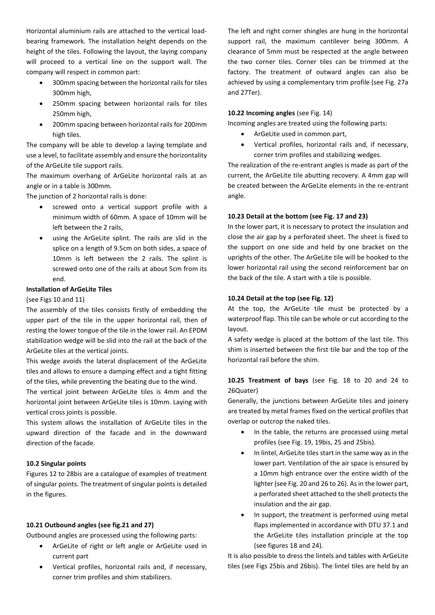Horizontal aluminium rails are attached to the vertical loadbearing framework. The installation height depends on the height of the tiles. Following the layout, the laying company will proceed to a vertical line on the support wall. The company will respect in common part:

- 300mm spacing between the horizontal rails for tiles 300mm high,
- 250mm spacing between horizontal rails for tiles 250mm high,
- 200mm spacing between horizontal rails for 200mm high tiles.

The company will be able to develop a laying template and use a level, to facilitate assembly and ensure the horizontality of the ArGeLite tile support rails.

The maximum overhang of ArGeLite horizontal rails at an angle or in a table is 300mm.

The junction of 2 horizontal rails is done:

- screwed onto a vertical support profile with a minimum width of 60mm. A space of 10mm will be left between the 2 rails,
- using the ArGeLite splint. The rails are slid in the splice on a length of 9.5cm on both sides, a space of 10mm is left between the 2 rails. The splint is screwed onto one of the rails at about 5cm from its end.

#### **Installation of ArGeLite Tiles**

#### (see Figs 10 and 11)

The assembly of the tiles consists firstly of embedding the upper part of the tile in the upper horizontal rail, then of resting the lower tongue of the tile in the lower rail. An EPDM stabilization wedge will be slid into the rail at the back of the ArGeLite tiles at the vertical joints.

This wedge avoids the lateral displacement of the ArGeLite tiles and allows to ensure a damping effect and a tight fitting of the tiles, while preventing the beating due to the wind.

The vertical joint between ArGeLite tiles is 4mm and the horizontal joint between ArGeLite tiles is 10mm. Laying with vertical cross joints is possible.

This system allows the installation of ArGeLite tiles in the upward direction of the facade and in the downward direction of the facade.

#### **10.2 Singular points**

Figures 12 to 28bis are a catalogue of examples of treatment of singular points. The treatment of singular points is detailed in the figures.

#### **10.21 Outbound angles (see fig.21 and 27)**

Outbound angles are processed using the following parts:

- ArGeLite of right or left angle or ArGeLite used in current part
- Vertical profiles, horizontal rails and, if necessary, corner trim profiles and shim stabilizers.

The left and right corner shingles are hung in the horizontal support rail, the maximum cantilever being 300mm. A clearance of 5mm must be respected at the angle between the two corner tiles. Corner tiles can be trimmed at the factory. The treatment of outward angles can also be achieved by using a complementary trim profile (see Fig. 27a and 27Ter).

#### **10.22 Incoming angles** (see Fig. 14)

Incoming angles are treated using the following parts:

- ArGeLite used in common part,
- Vertical profiles, horizontal rails and, if necessary, corner trim profiles and stabilizing wedges.

The realization of the re-entrant angles is made as part of the current, the ArGeLite tile abutting recovery. A 4mm gap will be created between the ArGeLite elements in the re-entrant angle.

#### **10.23 Detail at the bottom (see Fig. 17 and 23)**

In the lower part, it is necessary to protect the insulation and close the air gap by a perforated sheet. The sheet is fixed to the support on one side and held by one bracket on the uprights of the other. The ArGeLite tile will be hooked to the lower horizontal rail using the second reinforcement bar on the back of the tile. A start with a tile is possible.

#### **10.24 Detail at the top (see Fig. 12)**

At the top, the ArGeLite tile must be protected by a waterproof flap. This tile can be whole or cut according to the layout.

A safety wedge is placed at the bottom of the last tile. This shim is inserted between the first tile bar and the top of the horizontal rail before the shim.

## **10.25 Treatment of bays** (see Fig. 18 to 20 and 24 to 26Quater)

Generally, the junctions between ArGeLite tiles and joinery are treated by metal frames fixed on the vertical profiles that overlap or outcrop the naked tiles.

- In the table, the returns are processed using metal profiles (see Fig. 19, 19bis, 25 and 25bis).
- In lintel. ArGeLite tiles start in the same way as in the lower part. Ventilation of the air space is ensured by a 10mm high entrance over the entire width of the lighter (see Fig. 20 and 26 to 26). As in the lower part, a perforated sheet attached to the shell protects the insulation and the air gap.
- In support, the treatment is performed using metal flaps implemented in accordance with DTU 37.1 and the ArGeLite tiles installation principle at the top (see figures 18 and 24).

It is also possible to dress the lintels and tables with ArGeLite tiles (see Figs 25bis and 26bis). The lintel tiles are held by an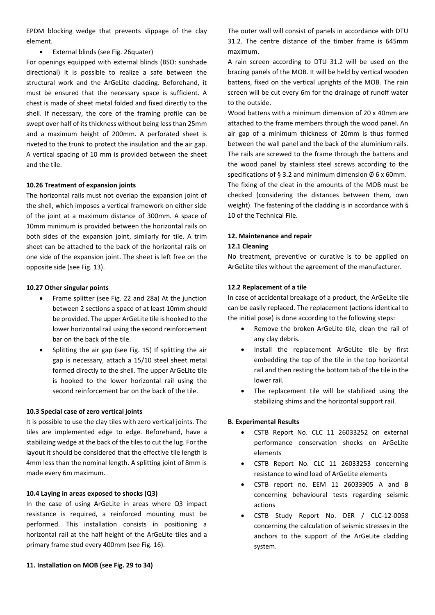EPDM blocking wedge that prevents slippage of the clay element.

• External blinds (see Fig. 26quater)

For openings equipped with external blinds (BSO: sunshade directional) it is possible to realize a safe between the structural work and the ArGeLite cladding. Beforehand, it must be ensured that the necessary space is sufficient. A chest is made of sheet metal folded and fixed directly to the shell. If necessary, the core of the framing profile can be swept over half of its thickness without being less than 25mm and a maximum height of 200mm. A perforated sheet is riveted to the trunk to protect the insulation and the air gap. A vertical spacing of 10 mm is provided between the sheet and the tile.

#### **10.26 Treatment of expansion joints**

The horizontal rails must not overlap the expansion joint of the shell, which imposes a vertical framework on either side of the joint at a maximum distance of 300mm. A space of 10mm minimum is provided between the horizontal rails on both sides of the expansion joint, similarly for tile. A trim sheet can be attached to the back of the horizontal rails on one side of the expansion joint. The sheet is left free on the opposite side (see Fig. 13).

### **10.27 Other singular points**

- Frame splitter (see Fig. 22 and 28a) At the junction between 2 sections a space of at least 10mm should be provided. The upper ArGeLite tile is hooked to the lower horizontal rail using the second reinforcement bar on the back of the tile.
- Splitting the air gap (see Fig. 15) If splitting the air gap is necessary, attach a 15/10 steel sheet metal formed directly to the shell. The upper ArGeLite tile is hooked to the lower horizontal rail using the second reinforcement bar on the back of the tile.

#### **10.3 Special case of zero vertical joints**

It is possible to use the clay tiles with zero vertical joints. The tiles are implemented edge to edge. Beforehand, have a stabilizing wedge at the back of the tiles to cut the lug. For the layout it should be considered that the effective tile length is 4mm less than the nominal length. A splitting joint of 8mm is made every 6m maximum.

#### **10.4 Laying in areas exposed to shocks (Q3)**

In the case of using ArGeLite in areas where Q3 impact resistance is required, a reinforced mounting must be performed. This installation consists in positioning a horizontal rail at the half height of the ArGeLite tiles and a primary frame stud every 400mm (see Fig. 16).

The outer wall will consist of panels in accordance with DTU 31.2. The centre distance of the timber frame is 645mm maximum.

A rain screen according to DTU 31.2 will be used on the bracing panels of the MOB. It will be held by vertical wooden battens, fixed on the vertical uprights of the MOB. The rain screen will be cut every 6m for the drainage of runoff water to the outside.

Wood battens with a minimum dimension of 20 x 40mm are attached to the frame members through the wood panel. An air gap of a minimum thickness of 20mm is thus formed between the wall panel and the back of the aluminium rails. The rails are screwed to the frame through the battens and the wood panel by stainless steel screws according to the specifications of § 3.2 and minimum dimension  $\varnothing$  6 x 60mm. The fixing of the cleat in the amounts of the MOB must be checked (considering the distances between them, own weight). The fastening of the cladding is in accordance with § 10 of the Technical File.

### **12. Maintenance and repair**

#### **12.1 Cleaning**

No treatment, preventive or curative is to be applied on ArGeLite tiles without the agreement of the manufacturer.

### **12.2 Replacement of a tile**

In case of accidental breakage of a product, the ArGeLite tile can be easily replaced. The replacement (actions identical to the initial pose) is done according to the following steps:

- Remove the broken ArGeLite tile, clean the rail of any clay debris.
- Install the replacement ArGeLite tile by first embedding the top of the tile in the top horizontal rail and then resting the bottom tab of the tile in the lower rail.
- The replacement tile will be stabilized using the stabilizing shims and the horizontal support rail.

## **B. Experimental Results**

- CSTB Report No. CLC 11 26033252 on external performance conservation shocks on ArGeLite elements
- CSTB Report No. CLC 11 26033253 concerning resistance to wind load of ArGeLite elements
- CSTB report no. EEM 11 26033905 A and B concerning behavioural tests regarding seismic actions
- CSTB Study Report No. DER / CLC-12-0058 concerning the calculation of seismic stresses in the anchors to the support of the ArGeLite cladding system.

#### **11. Installation on MOB (see Fig. 29 to 34)**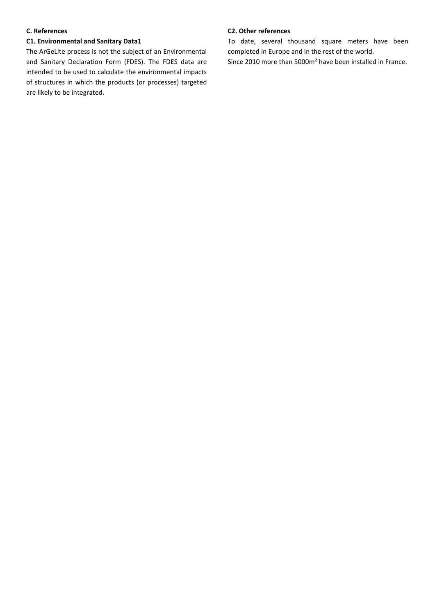#### **C. References**

## **C1. Environmental and Sanitary Data1**

The ArGeLite process is not the subject of an Environmental and Sanitary Declaration Form (FDES). The FDES data are intended to be used to calculate the environmental impacts of structures in which the products (or processes) targeted are likely to be integrated.

#### **C2. Other references**

To date, several thousand square meters have been completed in Europe and in the rest of the world.

Since 2010 more than 5000m² have been installed in France.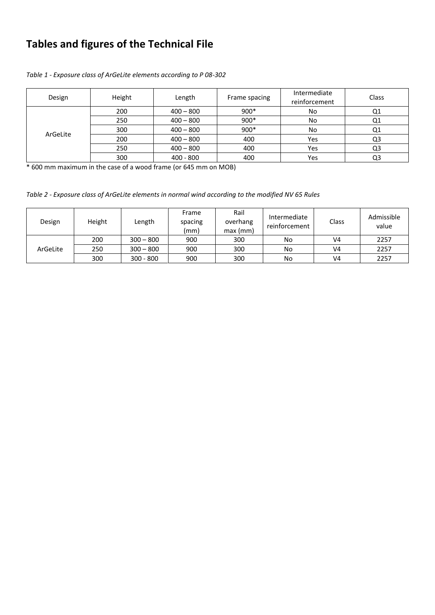# **Tables and figures of the Technical File**

| Design   | Height | Length      | Frame spacing | Intermediate<br>reinforcement | Class |
|----------|--------|-------------|---------------|-------------------------------|-------|
| ArGeLite | 200    | $400 - 800$ | $900*$        | No                            | Q1    |
|          | 250    | $400 - 800$ | 900*          | No                            | Q1    |
|          | 300    | $400 - 800$ | 900*          | No                            | Q1    |
|          | 200    | $400 - 800$ | 400           | Yes                           | Q3    |
|          | 250    | $400 - 800$ | 400           | Yes                           | Q3    |
|          | 300    | $400 - 800$ | 400           | Yes                           | Q3    |

*Table 1 - Exposure class of ArGeLite elements according to P 08-302*

\* 600 mm maximum in the case of a wood frame (or 645 mm on MOB)

*Table 2 - Exposure class of ArGeLite elements in normal wind according to the modified NV 65 Rules*

| Design   | Height | Length      | Frame<br>spacing<br>(mm) | Rail<br>overhang<br>max(mm) | Intermediate<br>reinforcement | Class          | Admissible<br>value |
|----------|--------|-------------|--------------------------|-----------------------------|-------------------------------|----------------|---------------------|
| ArGeLite | 200    | $300 - 800$ | 900                      | 300                         | No.                           | V4             | 2257                |
|          | 250    | $300 - 800$ | 900                      | 300                         | No.                           | V <sub>4</sub> | 2257                |
|          | 300    | $300 - 800$ | 900                      | 300                         | No.                           | V <sub>4</sub> | 2257                |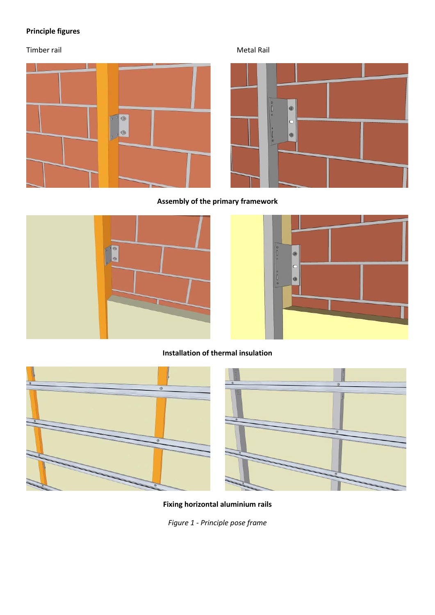# **Principle figures**

Timber rail and the contract of the contract of the Metal Rail Metal Rail and Metal Rail and Metal Rail and Metal Rail





**Assembly of the primary framework**





**Installation of thermal insulation**





**Fixing horizontal aluminium rails**

*Figure 1 - Principle pose frame*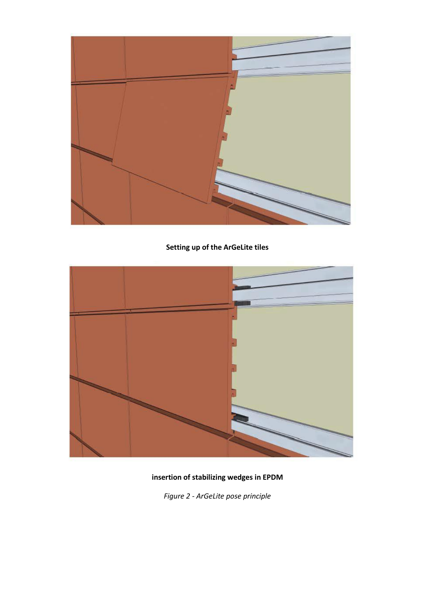

# **Setting up of the ArGeLite tiles**



# **insertion of stabilizing wedges in EPDM**

*Figure 2 - ArGeLite pose principle*